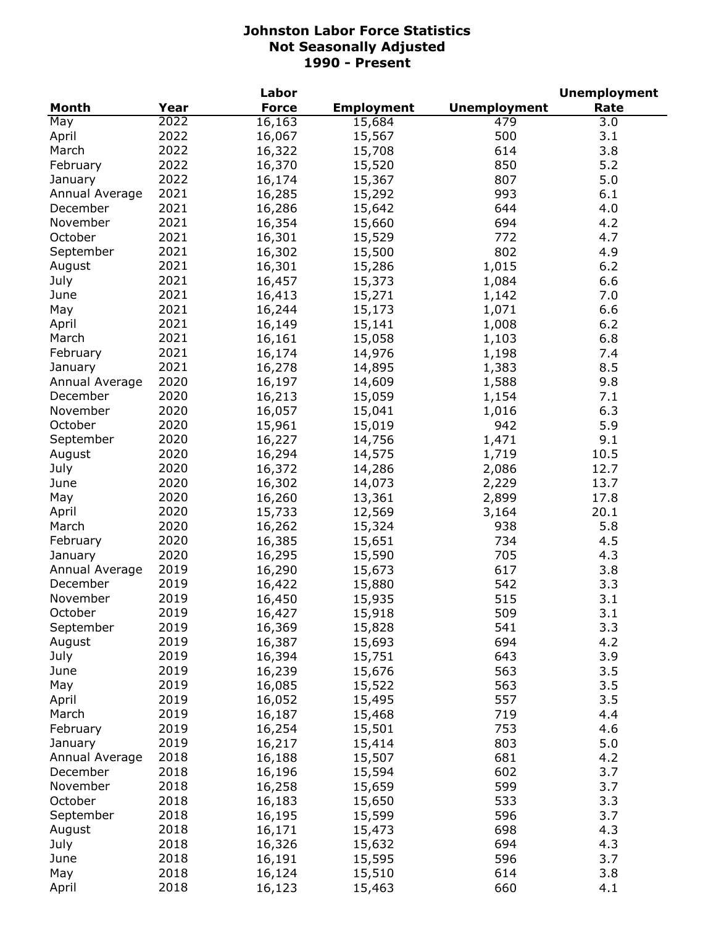| Year<br><b>Force</b><br>Month<br><b>Employment</b><br>Rate<br>2022<br>479<br>May<br>16,163<br>15,684<br>3.0<br>2022<br>500<br>16,067<br>3.1<br>April<br>15,567<br>2022<br>614<br>3.8<br>March<br>16,322<br>15,708<br>2022<br>850<br>5.2<br>February<br>16,370<br>15,520<br>2022<br>807<br>5.0<br>16,174<br>15,367<br>January<br>2021<br>993<br>Annual Average<br>16,285<br>15,292<br>6.1<br>2021<br>644<br>4.0<br>December<br>16,286<br>15,642<br>2021<br>694<br>4.2<br>November<br>16,354<br>15,660<br>2021<br>16,301<br>772<br>4.7<br>October<br>15,529<br>2021<br>802<br>16,302<br>4.9<br>September<br>15,500<br>2021<br>16,301<br>1,015<br>August<br>15,286<br>6.2<br>2021<br>16,457<br>1,084<br>6.6<br>July<br>15,373<br>2021<br>16,413<br>15,271<br>June<br>1,142<br>7.0<br>2021<br>16,244<br>15,173<br>1,071<br>6.6<br>May<br>2021<br>16,149<br>15,141<br>1,008<br>6.2<br>April<br>2021<br>15,058<br>1,103<br>6.8<br>March<br>16,161<br>2021<br>7.4<br>February<br>16,174<br>14,976<br>1,198<br>2021<br>16,278<br>8.5<br>14,895<br>1,383<br>January<br>2020<br>16,197<br>9.8<br>Annual Average<br>14,609<br>1,588<br>2020<br>December<br>16,213<br>15,059<br>7.1<br>1,154<br>2020<br>November<br>6.3<br>16,057<br>15,041<br>1,016<br>2020<br>October<br>5.9<br>15,961<br>15,019<br>942<br>2020<br>September<br>16,227<br>14,756<br>1,471<br>9.1<br>2020<br>16,294<br>10.5<br>August<br>14,575<br>1,719<br>2020<br>16,372<br>2,086<br>12.7<br>July<br>14,286<br>2020<br>16,302<br>2,229<br>13.7<br>June<br>14,073<br>2020<br>16,260<br>2,899<br>May<br>13,361<br>17.8<br>2020<br>15,733<br>12,569<br>3,164<br>20.1<br>April<br>2020<br>16,262<br>15,324<br>938<br>5.8<br>March<br>2020<br>16,385<br>734<br>February<br>15,651<br>4.5<br>2020<br>16,295<br>15,590<br>705<br>4.3<br>January<br>2019<br>16,290<br>617<br>3.8<br>Annual Average<br>15,673<br>2019<br>542<br>3.3<br>December<br>16,422<br>15,880<br>November<br>2019<br>515<br>3.1<br>16,450<br>15,935<br>October<br>2019<br>3.1<br>509<br>16,427<br>15,918<br>2019<br>541<br>3.3<br>September<br>16,369<br>15,828<br>2019<br>694<br>4.2<br>August<br>16,387<br>15,693<br>2019<br>643<br>3.9<br>July<br>16,394<br>15,751<br>563<br>3.5<br>2019<br>16,239<br>15,676<br>June<br>2019<br>563<br>3.5<br>May<br>16,085<br>15,522<br>2019<br>557<br>3.5<br>April<br>16,052<br>15,495<br>2019<br>719<br>4.4<br>March<br>16,187<br>15,468<br>2019<br>753<br>4.6<br>February<br>16,254<br>15,501<br>5.0<br>2019<br>16,217<br>803<br>15,414<br>January<br>2018<br>16,188<br>681<br>4.2<br>Annual Average<br>15,507<br>602<br>3.7<br>2018<br>16,196<br>15,594<br>December<br>2018<br>16,258<br>599<br>3.7<br>November<br>15,659<br>October<br>2018<br>16,183<br>533<br>3.3<br>15,650<br>2018<br>596<br>3.7<br>September<br>16,195<br>15,599<br>2018<br>698<br>4.3<br>August<br>16,171<br>15,473<br>2018<br>694<br>4.3<br>July<br>16,326<br>15,632<br>2018<br>596<br>3.7<br>June<br>16,191<br>15,595<br>May<br>2018<br>614<br>3.8<br>16,124<br>15,510<br>2018<br>660<br>April<br>16,123<br>15,463<br>4.1 |  | Labor |                     | <b>Unemployment</b> |
|---------------------------------------------------------------------------------------------------------------------------------------------------------------------------------------------------------------------------------------------------------------------------------------------------------------------------------------------------------------------------------------------------------------------------------------------------------------------------------------------------------------------------------------------------------------------------------------------------------------------------------------------------------------------------------------------------------------------------------------------------------------------------------------------------------------------------------------------------------------------------------------------------------------------------------------------------------------------------------------------------------------------------------------------------------------------------------------------------------------------------------------------------------------------------------------------------------------------------------------------------------------------------------------------------------------------------------------------------------------------------------------------------------------------------------------------------------------------------------------------------------------------------------------------------------------------------------------------------------------------------------------------------------------------------------------------------------------------------------------------------------------------------------------------------------------------------------------------------------------------------------------------------------------------------------------------------------------------------------------------------------------------------------------------------------------------------------------------------------------------------------------------------------------------------------------------------------------------------------------------------------------------------------------------------------------------------------------------------------------------------------------------------------------------------------------------------------------------------------------------------------------------------------------------------------------------------------------------------------------------------------------------------------------------------------------------------------------------------------------------------------------------------------------------------------------------------------------------------------------------------------------------------------------------------------------------------------------------------------------------------------------------------------------------------------------|--|-------|---------------------|---------------------|
|                                                                                                                                                                                                                                                                                                                                                                                                                                                                                                                                                                                                                                                                                                                                                                                                                                                                                                                                                                                                                                                                                                                                                                                                                                                                                                                                                                                                                                                                                                                                                                                                                                                                                                                                                                                                                                                                                                                                                                                                                                                                                                                                                                                                                                                                                                                                                                                                                                                                                                                                                                                                                                                                                                                                                                                                                                                                                                                                                                                                                                                               |  |       | <b>Unemployment</b> |                     |
|                                                                                                                                                                                                                                                                                                                                                                                                                                                                                                                                                                                                                                                                                                                                                                                                                                                                                                                                                                                                                                                                                                                                                                                                                                                                                                                                                                                                                                                                                                                                                                                                                                                                                                                                                                                                                                                                                                                                                                                                                                                                                                                                                                                                                                                                                                                                                                                                                                                                                                                                                                                                                                                                                                                                                                                                                                                                                                                                                                                                                                                               |  |       |                     |                     |
|                                                                                                                                                                                                                                                                                                                                                                                                                                                                                                                                                                                                                                                                                                                                                                                                                                                                                                                                                                                                                                                                                                                                                                                                                                                                                                                                                                                                                                                                                                                                                                                                                                                                                                                                                                                                                                                                                                                                                                                                                                                                                                                                                                                                                                                                                                                                                                                                                                                                                                                                                                                                                                                                                                                                                                                                                                                                                                                                                                                                                                                               |  |       |                     |                     |
|                                                                                                                                                                                                                                                                                                                                                                                                                                                                                                                                                                                                                                                                                                                                                                                                                                                                                                                                                                                                                                                                                                                                                                                                                                                                                                                                                                                                                                                                                                                                                                                                                                                                                                                                                                                                                                                                                                                                                                                                                                                                                                                                                                                                                                                                                                                                                                                                                                                                                                                                                                                                                                                                                                                                                                                                                                                                                                                                                                                                                                                               |  |       |                     |                     |
|                                                                                                                                                                                                                                                                                                                                                                                                                                                                                                                                                                                                                                                                                                                                                                                                                                                                                                                                                                                                                                                                                                                                                                                                                                                                                                                                                                                                                                                                                                                                                                                                                                                                                                                                                                                                                                                                                                                                                                                                                                                                                                                                                                                                                                                                                                                                                                                                                                                                                                                                                                                                                                                                                                                                                                                                                                                                                                                                                                                                                                                               |  |       |                     |                     |
|                                                                                                                                                                                                                                                                                                                                                                                                                                                                                                                                                                                                                                                                                                                                                                                                                                                                                                                                                                                                                                                                                                                                                                                                                                                                                                                                                                                                                                                                                                                                                                                                                                                                                                                                                                                                                                                                                                                                                                                                                                                                                                                                                                                                                                                                                                                                                                                                                                                                                                                                                                                                                                                                                                                                                                                                                                                                                                                                                                                                                                                               |  |       |                     |                     |
|                                                                                                                                                                                                                                                                                                                                                                                                                                                                                                                                                                                                                                                                                                                                                                                                                                                                                                                                                                                                                                                                                                                                                                                                                                                                                                                                                                                                                                                                                                                                                                                                                                                                                                                                                                                                                                                                                                                                                                                                                                                                                                                                                                                                                                                                                                                                                                                                                                                                                                                                                                                                                                                                                                                                                                                                                                                                                                                                                                                                                                                               |  |       |                     |                     |
|                                                                                                                                                                                                                                                                                                                                                                                                                                                                                                                                                                                                                                                                                                                                                                                                                                                                                                                                                                                                                                                                                                                                                                                                                                                                                                                                                                                                                                                                                                                                                                                                                                                                                                                                                                                                                                                                                                                                                                                                                                                                                                                                                                                                                                                                                                                                                                                                                                                                                                                                                                                                                                                                                                                                                                                                                                                                                                                                                                                                                                                               |  |       |                     |                     |
|                                                                                                                                                                                                                                                                                                                                                                                                                                                                                                                                                                                                                                                                                                                                                                                                                                                                                                                                                                                                                                                                                                                                                                                                                                                                                                                                                                                                                                                                                                                                                                                                                                                                                                                                                                                                                                                                                                                                                                                                                                                                                                                                                                                                                                                                                                                                                                                                                                                                                                                                                                                                                                                                                                                                                                                                                                                                                                                                                                                                                                                               |  |       |                     |                     |
|                                                                                                                                                                                                                                                                                                                                                                                                                                                                                                                                                                                                                                                                                                                                                                                                                                                                                                                                                                                                                                                                                                                                                                                                                                                                                                                                                                                                                                                                                                                                                                                                                                                                                                                                                                                                                                                                                                                                                                                                                                                                                                                                                                                                                                                                                                                                                                                                                                                                                                                                                                                                                                                                                                                                                                                                                                                                                                                                                                                                                                                               |  |       |                     |                     |
|                                                                                                                                                                                                                                                                                                                                                                                                                                                                                                                                                                                                                                                                                                                                                                                                                                                                                                                                                                                                                                                                                                                                                                                                                                                                                                                                                                                                                                                                                                                                                                                                                                                                                                                                                                                                                                                                                                                                                                                                                                                                                                                                                                                                                                                                                                                                                                                                                                                                                                                                                                                                                                                                                                                                                                                                                                                                                                                                                                                                                                                               |  |       |                     |                     |
|                                                                                                                                                                                                                                                                                                                                                                                                                                                                                                                                                                                                                                                                                                                                                                                                                                                                                                                                                                                                                                                                                                                                                                                                                                                                                                                                                                                                                                                                                                                                                                                                                                                                                                                                                                                                                                                                                                                                                                                                                                                                                                                                                                                                                                                                                                                                                                                                                                                                                                                                                                                                                                                                                                                                                                                                                                                                                                                                                                                                                                                               |  |       |                     |                     |
|                                                                                                                                                                                                                                                                                                                                                                                                                                                                                                                                                                                                                                                                                                                                                                                                                                                                                                                                                                                                                                                                                                                                                                                                                                                                                                                                                                                                                                                                                                                                                                                                                                                                                                                                                                                                                                                                                                                                                                                                                                                                                                                                                                                                                                                                                                                                                                                                                                                                                                                                                                                                                                                                                                                                                                                                                                                                                                                                                                                                                                                               |  |       |                     |                     |
|                                                                                                                                                                                                                                                                                                                                                                                                                                                                                                                                                                                                                                                                                                                                                                                                                                                                                                                                                                                                                                                                                                                                                                                                                                                                                                                                                                                                                                                                                                                                                                                                                                                                                                                                                                                                                                                                                                                                                                                                                                                                                                                                                                                                                                                                                                                                                                                                                                                                                                                                                                                                                                                                                                                                                                                                                                                                                                                                                                                                                                                               |  |       |                     |                     |
|                                                                                                                                                                                                                                                                                                                                                                                                                                                                                                                                                                                                                                                                                                                                                                                                                                                                                                                                                                                                                                                                                                                                                                                                                                                                                                                                                                                                                                                                                                                                                                                                                                                                                                                                                                                                                                                                                                                                                                                                                                                                                                                                                                                                                                                                                                                                                                                                                                                                                                                                                                                                                                                                                                                                                                                                                                                                                                                                                                                                                                                               |  |       |                     |                     |
|                                                                                                                                                                                                                                                                                                                                                                                                                                                                                                                                                                                                                                                                                                                                                                                                                                                                                                                                                                                                                                                                                                                                                                                                                                                                                                                                                                                                                                                                                                                                                                                                                                                                                                                                                                                                                                                                                                                                                                                                                                                                                                                                                                                                                                                                                                                                                                                                                                                                                                                                                                                                                                                                                                                                                                                                                                                                                                                                                                                                                                                               |  |       |                     |                     |
|                                                                                                                                                                                                                                                                                                                                                                                                                                                                                                                                                                                                                                                                                                                                                                                                                                                                                                                                                                                                                                                                                                                                                                                                                                                                                                                                                                                                                                                                                                                                                                                                                                                                                                                                                                                                                                                                                                                                                                                                                                                                                                                                                                                                                                                                                                                                                                                                                                                                                                                                                                                                                                                                                                                                                                                                                                                                                                                                                                                                                                                               |  |       |                     |                     |
|                                                                                                                                                                                                                                                                                                                                                                                                                                                                                                                                                                                                                                                                                                                                                                                                                                                                                                                                                                                                                                                                                                                                                                                                                                                                                                                                                                                                                                                                                                                                                                                                                                                                                                                                                                                                                                                                                                                                                                                                                                                                                                                                                                                                                                                                                                                                                                                                                                                                                                                                                                                                                                                                                                                                                                                                                                                                                                                                                                                                                                                               |  |       |                     |                     |
|                                                                                                                                                                                                                                                                                                                                                                                                                                                                                                                                                                                                                                                                                                                                                                                                                                                                                                                                                                                                                                                                                                                                                                                                                                                                                                                                                                                                                                                                                                                                                                                                                                                                                                                                                                                                                                                                                                                                                                                                                                                                                                                                                                                                                                                                                                                                                                                                                                                                                                                                                                                                                                                                                                                                                                                                                                                                                                                                                                                                                                                               |  |       |                     |                     |
|                                                                                                                                                                                                                                                                                                                                                                                                                                                                                                                                                                                                                                                                                                                                                                                                                                                                                                                                                                                                                                                                                                                                                                                                                                                                                                                                                                                                                                                                                                                                                                                                                                                                                                                                                                                                                                                                                                                                                                                                                                                                                                                                                                                                                                                                                                                                                                                                                                                                                                                                                                                                                                                                                                                                                                                                                                                                                                                                                                                                                                                               |  |       |                     |                     |
|                                                                                                                                                                                                                                                                                                                                                                                                                                                                                                                                                                                                                                                                                                                                                                                                                                                                                                                                                                                                                                                                                                                                                                                                                                                                                                                                                                                                                                                                                                                                                                                                                                                                                                                                                                                                                                                                                                                                                                                                                                                                                                                                                                                                                                                                                                                                                                                                                                                                                                                                                                                                                                                                                                                                                                                                                                                                                                                                                                                                                                                               |  |       |                     |                     |
|                                                                                                                                                                                                                                                                                                                                                                                                                                                                                                                                                                                                                                                                                                                                                                                                                                                                                                                                                                                                                                                                                                                                                                                                                                                                                                                                                                                                                                                                                                                                                                                                                                                                                                                                                                                                                                                                                                                                                                                                                                                                                                                                                                                                                                                                                                                                                                                                                                                                                                                                                                                                                                                                                                                                                                                                                                                                                                                                                                                                                                                               |  |       |                     |                     |
|                                                                                                                                                                                                                                                                                                                                                                                                                                                                                                                                                                                                                                                                                                                                                                                                                                                                                                                                                                                                                                                                                                                                                                                                                                                                                                                                                                                                                                                                                                                                                                                                                                                                                                                                                                                                                                                                                                                                                                                                                                                                                                                                                                                                                                                                                                                                                                                                                                                                                                                                                                                                                                                                                                                                                                                                                                                                                                                                                                                                                                                               |  |       |                     |                     |
|                                                                                                                                                                                                                                                                                                                                                                                                                                                                                                                                                                                                                                                                                                                                                                                                                                                                                                                                                                                                                                                                                                                                                                                                                                                                                                                                                                                                                                                                                                                                                                                                                                                                                                                                                                                                                                                                                                                                                                                                                                                                                                                                                                                                                                                                                                                                                                                                                                                                                                                                                                                                                                                                                                                                                                                                                                                                                                                                                                                                                                                               |  |       |                     |                     |
|                                                                                                                                                                                                                                                                                                                                                                                                                                                                                                                                                                                                                                                                                                                                                                                                                                                                                                                                                                                                                                                                                                                                                                                                                                                                                                                                                                                                                                                                                                                                                                                                                                                                                                                                                                                                                                                                                                                                                                                                                                                                                                                                                                                                                                                                                                                                                                                                                                                                                                                                                                                                                                                                                                                                                                                                                                                                                                                                                                                                                                                               |  |       |                     |                     |
|                                                                                                                                                                                                                                                                                                                                                                                                                                                                                                                                                                                                                                                                                                                                                                                                                                                                                                                                                                                                                                                                                                                                                                                                                                                                                                                                                                                                                                                                                                                                                                                                                                                                                                                                                                                                                                                                                                                                                                                                                                                                                                                                                                                                                                                                                                                                                                                                                                                                                                                                                                                                                                                                                                                                                                                                                                                                                                                                                                                                                                                               |  |       |                     |                     |
|                                                                                                                                                                                                                                                                                                                                                                                                                                                                                                                                                                                                                                                                                                                                                                                                                                                                                                                                                                                                                                                                                                                                                                                                                                                                                                                                                                                                                                                                                                                                                                                                                                                                                                                                                                                                                                                                                                                                                                                                                                                                                                                                                                                                                                                                                                                                                                                                                                                                                                                                                                                                                                                                                                                                                                                                                                                                                                                                                                                                                                                               |  |       |                     |                     |
|                                                                                                                                                                                                                                                                                                                                                                                                                                                                                                                                                                                                                                                                                                                                                                                                                                                                                                                                                                                                                                                                                                                                                                                                                                                                                                                                                                                                                                                                                                                                                                                                                                                                                                                                                                                                                                                                                                                                                                                                                                                                                                                                                                                                                                                                                                                                                                                                                                                                                                                                                                                                                                                                                                                                                                                                                                                                                                                                                                                                                                                               |  |       |                     |                     |
|                                                                                                                                                                                                                                                                                                                                                                                                                                                                                                                                                                                                                                                                                                                                                                                                                                                                                                                                                                                                                                                                                                                                                                                                                                                                                                                                                                                                                                                                                                                                                                                                                                                                                                                                                                                                                                                                                                                                                                                                                                                                                                                                                                                                                                                                                                                                                                                                                                                                                                                                                                                                                                                                                                                                                                                                                                                                                                                                                                                                                                                               |  |       |                     |                     |
|                                                                                                                                                                                                                                                                                                                                                                                                                                                                                                                                                                                                                                                                                                                                                                                                                                                                                                                                                                                                                                                                                                                                                                                                                                                                                                                                                                                                                                                                                                                                                                                                                                                                                                                                                                                                                                                                                                                                                                                                                                                                                                                                                                                                                                                                                                                                                                                                                                                                                                                                                                                                                                                                                                                                                                                                                                                                                                                                                                                                                                                               |  |       |                     |                     |
|                                                                                                                                                                                                                                                                                                                                                                                                                                                                                                                                                                                                                                                                                                                                                                                                                                                                                                                                                                                                                                                                                                                                                                                                                                                                                                                                                                                                                                                                                                                                                                                                                                                                                                                                                                                                                                                                                                                                                                                                                                                                                                                                                                                                                                                                                                                                                                                                                                                                                                                                                                                                                                                                                                                                                                                                                                                                                                                                                                                                                                                               |  |       |                     |                     |
|                                                                                                                                                                                                                                                                                                                                                                                                                                                                                                                                                                                                                                                                                                                                                                                                                                                                                                                                                                                                                                                                                                                                                                                                                                                                                                                                                                                                                                                                                                                                                                                                                                                                                                                                                                                                                                                                                                                                                                                                                                                                                                                                                                                                                                                                                                                                                                                                                                                                                                                                                                                                                                                                                                                                                                                                                                                                                                                                                                                                                                                               |  |       |                     |                     |
|                                                                                                                                                                                                                                                                                                                                                                                                                                                                                                                                                                                                                                                                                                                                                                                                                                                                                                                                                                                                                                                                                                                                                                                                                                                                                                                                                                                                                                                                                                                                                                                                                                                                                                                                                                                                                                                                                                                                                                                                                                                                                                                                                                                                                                                                                                                                                                                                                                                                                                                                                                                                                                                                                                                                                                                                                                                                                                                                                                                                                                                               |  |       |                     |                     |
|                                                                                                                                                                                                                                                                                                                                                                                                                                                                                                                                                                                                                                                                                                                                                                                                                                                                                                                                                                                                                                                                                                                                                                                                                                                                                                                                                                                                                                                                                                                                                                                                                                                                                                                                                                                                                                                                                                                                                                                                                                                                                                                                                                                                                                                                                                                                                                                                                                                                                                                                                                                                                                                                                                                                                                                                                                                                                                                                                                                                                                                               |  |       |                     |                     |
|                                                                                                                                                                                                                                                                                                                                                                                                                                                                                                                                                                                                                                                                                                                                                                                                                                                                                                                                                                                                                                                                                                                                                                                                                                                                                                                                                                                                                                                                                                                                                                                                                                                                                                                                                                                                                                                                                                                                                                                                                                                                                                                                                                                                                                                                                                                                                                                                                                                                                                                                                                                                                                                                                                                                                                                                                                                                                                                                                                                                                                                               |  |       |                     |                     |
|                                                                                                                                                                                                                                                                                                                                                                                                                                                                                                                                                                                                                                                                                                                                                                                                                                                                                                                                                                                                                                                                                                                                                                                                                                                                                                                                                                                                                                                                                                                                                                                                                                                                                                                                                                                                                                                                                                                                                                                                                                                                                                                                                                                                                                                                                                                                                                                                                                                                                                                                                                                                                                                                                                                                                                                                                                                                                                                                                                                                                                                               |  |       |                     |                     |
|                                                                                                                                                                                                                                                                                                                                                                                                                                                                                                                                                                                                                                                                                                                                                                                                                                                                                                                                                                                                                                                                                                                                                                                                                                                                                                                                                                                                                                                                                                                                                                                                                                                                                                                                                                                                                                                                                                                                                                                                                                                                                                                                                                                                                                                                                                                                                                                                                                                                                                                                                                                                                                                                                                                                                                                                                                                                                                                                                                                                                                                               |  |       |                     |                     |
|                                                                                                                                                                                                                                                                                                                                                                                                                                                                                                                                                                                                                                                                                                                                                                                                                                                                                                                                                                                                                                                                                                                                                                                                                                                                                                                                                                                                                                                                                                                                                                                                                                                                                                                                                                                                                                                                                                                                                                                                                                                                                                                                                                                                                                                                                                                                                                                                                                                                                                                                                                                                                                                                                                                                                                                                                                                                                                                                                                                                                                                               |  |       |                     |                     |
|                                                                                                                                                                                                                                                                                                                                                                                                                                                                                                                                                                                                                                                                                                                                                                                                                                                                                                                                                                                                                                                                                                                                                                                                                                                                                                                                                                                                                                                                                                                                                                                                                                                                                                                                                                                                                                                                                                                                                                                                                                                                                                                                                                                                                                                                                                                                                                                                                                                                                                                                                                                                                                                                                                                                                                                                                                                                                                                                                                                                                                                               |  |       |                     |                     |
|                                                                                                                                                                                                                                                                                                                                                                                                                                                                                                                                                                                                                                                                                                                                                                                                                                                                                                                                                                                                                                                                                                                                                                                                                                                                                                                                                                                                                                                                                                                                                                                                                                                                                                                                                                                                                                                                                                                                                                                                                                                                                                                                                                                                                                                                                                                                                                                                                                                                                                                                                                                                                                                                                                                                                                                                                                                                                                                                                                                                                                                               |  |       |                     |                     |
|                                                                                                                                                                                                                                                                                                                                                                                                                                                                                                                                                                                                                                                                                                                                                                                                                                                                                                                                                                                                                                                                                                                                                                                                                                                                                                                                                                                                                                                                                                                                                                                                                                                                                                                                                                                                                                                                                                                                                                                                                                                                                                                                                                                                                                                                                                                                                                                                                                                                                                                                                                                                                                                                                                                                                                                                                                                                                                                                                                                                                                                               |  |       |                     |                     |
|                                                                                                                                                                                                                                                                                                                                                                                                                                                                                                                                                                                                                                                                                                                                                                                                                                                                                                                                                                                                                                                                                                                                                                                                                                                                                                                                                                                                                                                                                                                                                                                                                                                                                                                                                                                                                                                                                                                                                                                                                                                                                                                                                                                                                                                                                                                                                                                                                                                                                                                                                                                                                                                                                                                                                                                                                                                                                                                                                                                                                                                               |  |       |                     |                     |
|                                                                                                                                                                                                                                                                                                                                                                                                                                                                                                                                                                                                                                                                                                                                                                                                                                                                                                                                                                                                                                                                                                                                                                                                                                                                                                                                                                                                                                                                                                                                                                                                                                                                                                                                                                                                                                                                                                                                                                                                                                                                                                                                                                                                                                                                                                                                                                                                                                                                                                                                                                                                                                                                                                                                                                                                                                                                                                                                                                                                                                                               |  |       |                     |                     |
|                                                                                                                                                                                                                                                                                                                                                                                                                                                                                                                                                                                                                                                                                                                                                                                                                                                                                                                                                                                                                                                                                                                                                                                                                                                                                                                                                                                                                                                                                                                                                                                                                                                                                                                                                                                                                                                                                                                                                                                                                                                                                                                                                                                                                                                                                                                                                                                                                                                                                                                                                                                                                                                                                                                                                                                                                                                                                                                                                                                                                                                               |  |       |                     |                     |
|                                                                                                                                                                                                                                                                                                                                                                                                                                                                                                                                                                                                                                                                                                                                                                                                                                                                                                                                                                                                                                                                                                                                                                                                                                                                                                                                                                                                                                                                                                                                                                                                                                                                                                                                                                                                                                                                                                                                                                                                                                                                                                                                                                                                                                                                                                                                                                                                                                                                                                                                                                                                                                                                                                                                                                                                                                                                                                                                                                                                                                                               |  |       |                     |                     |
|                                                                                                                                                                                                                                                                                                                                                                                                                                                                                                                                                                                                                                                                                                                                                                                                                                                                                                                                                                                                                                                                                                                                                                                                                                                                                                                                                                                                                                                                                                                                                                                                                                                                                                                                                                                                                                                                                                                                                                                                                                                                                                                                                                                                                                                                                                                                                                                                                                                                                                                                                                                                                                                                                                                                                                                                                                                                                                                                                                                                                                                               |  |       |                     |                     |
|                                                                                                                                                                                                                                                                                                                                                                                                                                                                                                                                                                                                                                                                                                                                                                                                                                                                                                                                                                                                                                                                                                                                                                                                                                                                                                                                                                                                                                                                                                                                                                                                                                                                                                                                                                                                                                                                                                                                                                                                                                                                                                                                                                                                                                                                                                                                                                                                                                                                                                                                                                                                                                                                                                                                                                                                                                                                                                                                                                                                                                                               |  |       |                     |                     |
|                                                                                                                                                                                                                                                                                                                                                                                                                                                                                                                                                                                                                                                                                                                                                                                                                                                                                                                                                                                                                                                                                                                                                                                                                                                                                                                                                                                                                                                                                                                                                                                                                                                                                                                                                                                                                                                                                                                                                                                                                                                                                                                                                                                                                                                                                                                                                                                                                                                                                                                                                                                                                                                                                                                                                                                                                                                                                                                                                                                                                                                               |  |       |                     |                     |
|                                                                                                                                                                                                                                                                                                                                                                                                                                                                                                                                                                                                                                                                                                                                                                                                                                                                                                                                                                                                                                                                                                                                                                                                                                                                                                                                                                                                                                                                                                                                                                                                                                                                                                                                                                                                                                                                                                                                                                                                                                                                                                                                                                                                                                                                                                                                                                                                                                                                                                                                                                                                                                                                                                                                                                                                                                                                                                                                                                                                                                                               |  |       |                     |                     |
|                                                                                                                                                                                                                                                                                                                                                                                                                                                                                                                                                                                                                                                                                                                                                                                                                                                                                                                                                                                                                                                                                                                                                                                                                                                                                                                                                                                                                                                                                                                                                                                                                                                                                                                                                                                                                                                                                                                                                                                                                                                                                                                                                                                                                                                                                                                                                                                                                                                                                                                                                                                                                                                                                                                                                                                                                                                                                                                                                                                                                                                               |  |       |                     |                     |
|                                                                                                                                                                                                                                                                                                                                                                                                                                                                                                                                                                                                                                                                                                                                                                                                                                                                                                                                                                                                                                                                                                                                                                                                                                                                                                                                                                                                                                                                                                                                                                                                                                                                                                                                                                                                                                                                                                                                                                                                                                                                                                                                                                                                                                                                                                                                                                                                                                                                                                                                                                                                                                                                                                                                                                                                                                                                                                                                                                                                                                                               |  |       |                     |                     |
|                                                                                                                                                                                                                                                                                                                                                                                                                                                                                                                                                                                                                                                                                                                                                                                                                                                                                                                                                                                                                                                                                                                                                                                                                                                                                                                                                                                                                                                                                                                                                                                                                                                                                                                                                                                                                                                                                                                                                                                                                                                                                                                                                                                                                                                                                                                                                                                                                                                                                                                                                                                                                                                                                                                                                                                                                                                                                                                                                                                                                                                               |  |       |                     |                     |
|                                                                                                                                                                                                                                                                                                                                                                                                                                                                                                                                                                                                                                                                                                                                                                                                                                                                                                                                                                                                                                                                                                                                                                                                                                                                                                                                                                                                                                                                                                                                                                                                                                                                                                                                                                                                                                                                                                                                                                                                                                                                                                                                                                                                                                                                                                                                                                                                                                                                                                                                                                                                                                                                                                                                                                                                                                                                                                                                                                                                                                                               |  |       |                     |                     |
|                                                                                                                                                                                                                                                                                                                                                                                                                                                                                                                                                                                                                                                                                                                                                                                                                                                                                                                                                                                                                                                                                                                                                                                                                                                                                                                                                                                                                                                                                                                                                                                                                                                                                                                                                                                                                                                                                                                                                                                                                                                                                                                                                                                                                                                                                                                                                                                                                                                                                                                                                                                                                                                                                                                                                                                                                                                                                                                                                                                                                                                               |  |       |                     |                     |
|                                                                                                                                                                                                                                                                                                                                                                                                                                                                                                                                                                                                                                                                                                                                                                                                                                                                                                                                                                                                                                                                                                                                                                                                                                                                                                                                                                                                                                                                                                                                                                                                                                                                                                                                                                                                                                                                                                                                                                                                                                                                                                                                                                                                                                                                                                                                                                                                                                                                                                                                                                                                                                                                                                                                                                                                                                                                                                                                                                                                                                                               |  |       |                     |                     |
|                                                                                                                                                                                                                                                                                                                                                                                                                                                                                                                                                                                                                                                                                                                                                                                                                                                                                                                                                                                                                                                                                                                                                                                                                                                                                                                                                                                                                                                                                                                                                                                                                                                                                                                                                                                                                                                                                                                                                                                                                                                                                                                                                                                                                                                                                                                                                                                                                                                                                                                                                                                                                                                                                                                                                                                                                                                                                                                                                                                                                                                               |  |       |                     |                     |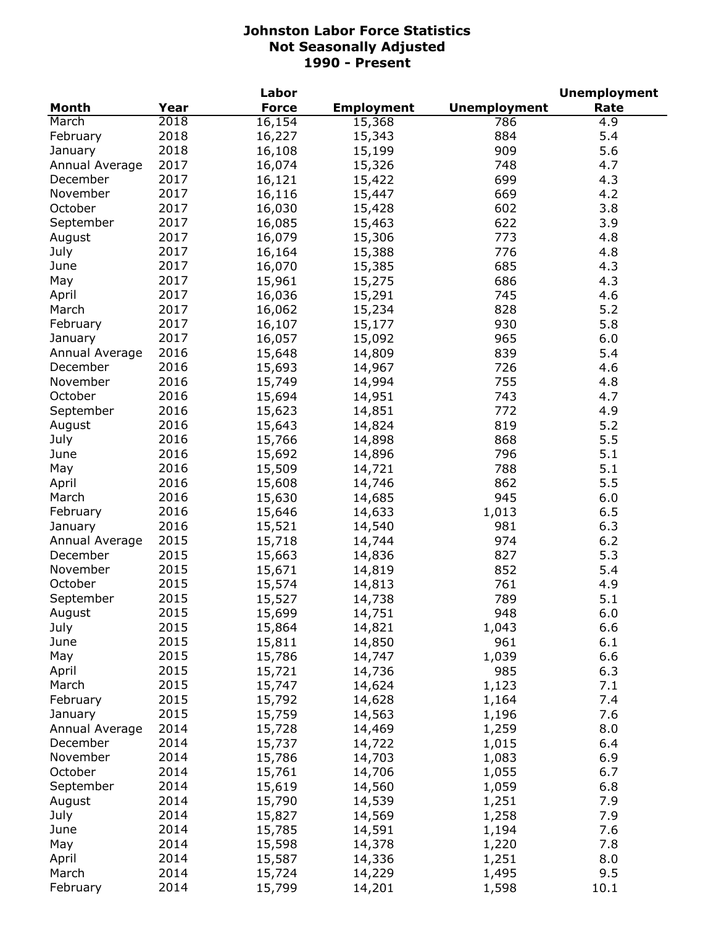|                |      | Labor        |                   |                     | <b>Unemployment</b> |
|----------------|------|--------------|-------------------|---------------------|---------------------|
| <b>Month</b>   | Year | <b>Force</b> | <b>Employment</b> | <b>Unemployment</b> | Rate                |
| March          | 2018 | 16,154       | 15,368            | 786                 | 4.9                 |
| February       | 2018 | 16,227       | 15,343            | 884                 | 5.4                 |
| January        | 2018 | 16,108       | 15,199            | 909                 | 5.6                 |
| Annual Average | 2017 | 16,074       | 15,326            | 748                 | 4.7                 |
| December       | 2017 | 16,121       | 15,422            | 699                 | 4.3                 |
| November       | 2017 | 16,116       | 15,447            | 669                 | 4.2                 |
| October        | 2017 | 16,030       | 15,428            | 602                 | 3.8                 |
| September      | 2017 | 16,085       | 15,463            | 622                 | 3.9                 |
| August         | 2017 | 16,079       | 15,306            | 773                 | 4.8                 |
| July           | 2017 | 16,164       | 15,388            | 776                 | 4.8                 |
| June           | 2017 | 16,070       | 15,385            | 685                 | 4.3                 |
| May            | 2017 | 15,961       | 15,275            | 686                 | 4.3                 |
| April          | 2017 | 16,036       | 15,291            | 745                 | 4.6                 |
| March          | 2017 |              | 15,234            | 828                 | $5.2$               |
|                |      | 16,062       |                   |                     |                     |
| February       | 2017 | 16,107       | 15,177            | 930                 | 5.8                 |
| January        | 2017 | 16,057       | 15,092            | 965                 | 6.0                 |
| Annual Average | 2016 | 15,648       | 14,809            | 839                 | 5.4                 |
| December       | 2016 | 15,693       | 14,967            | 726                 | 4.6                 |
| November       | 2016 | 15,749       | 14,994            | 755                 | 4.8                 |
| October        | 2016 | 15,694       | 14,951            | 743                 | 4.7                 |
| September      | 2016 | 15,623       | 14,851            | 772                 | 4.9                 |
| August         | 2016 | 15,643       | 14,824            | 819                 | 5.2                 |
| July           | 2016 | 15,766       | 14,898            | 868                 | 5.5                 |
| June           | 2016 | 15,692       | 14,896            | 796                 | 5.1                 |
| May            | 2016 | 15,509       | 14,721            | 788                 | 5.1                 |
| April          | 2016 | 15,608       | 14,746            | 862                 | 5.5                 |
| March          | 2016 | 15,630       | 14,685            | 945                 | 6.0                 |
| February       | 2016 | 15,646       | 14,633            | 1,013               | 6.5                 |
| January        | 2016 | 15,521       | 14,540            | 981                 | 6.3                 |
| Annual Average | 2015 | 15,718       | 14,744            | 974                 | $6.2$               |
| December       | 2015 | 15,663       | 14,836            | 827                 | 5.3                 |
| November       | 2015 | 15,671       | 14,819            | 852                 | 5.4                 |
| October        | 2015 | 15,574       | 14,813            | 761                 | 4.9                 |
| September      | 2015 | 15,527       | 14,738            | 789                 | 5.1                 |
| August         | 2015 | 15,699       | 14,751            | 948                 | $6.0\,$             |
| July           | 2015 | 15,864       | 14,821            | 1,043               | 6.6                 |
| June           | 2015 | 15,811       | 14,850            | 961                 | 6.1                 |
| May            | 2015 | 15,786       | 14,747            | 1,039               | 6.6                 |
| April          | 2015 | 15,721       | 14,736            | 985                 | 6.3                 |
| March          | 2015 | 15,747       | 14,624            | 1,123               | 7.1                 |
| February       | 2015 | 15,792       | 14,628            | 1,164               | 7.4                 |
| January        | 2015 | 15,759       | 14,563            | 1,196               | 7.6                 |
| Annual Average | 2014 | 15,728       | 14,469            | 1,259               | 8.0                 |
| December       | 2014 | 15,737       | 14,722            | 1,015               | 6.4                 |
| November       | 2014 | 15,786       | 14,703            | 1,083               | 6.9                 |
| October        | 2014 | 15,761       | 14,706            | 1,055               | 6.7                 |
| September      | 2014 | 15,619       | 14,560            | 1,059               | 6.8                 |
| August         | 2014 | 15,790       | 14,539            | 1,251               | 7.9                 |
| July           | 2014 | 15,827       |                   | 1,258               | 7.9                 |
|                |      |              | 14,569            |                     |                     |
| June           | 2014 | 15,785       | 14,591            | 1,194               | 7.6                 |
| May            | 2014 | 15,598       | 14,378            | 1,220               | 7.8                 |
| April          | 2014 | 15,587       | 14,336            | 1,251               | 8.0                 |
| March          | 2014 | 15,724       | 14,229            | 1,495               | 9.5                 |
| February       | 2014 | 15,799       | 14,201            | 1,598               | 10.1                |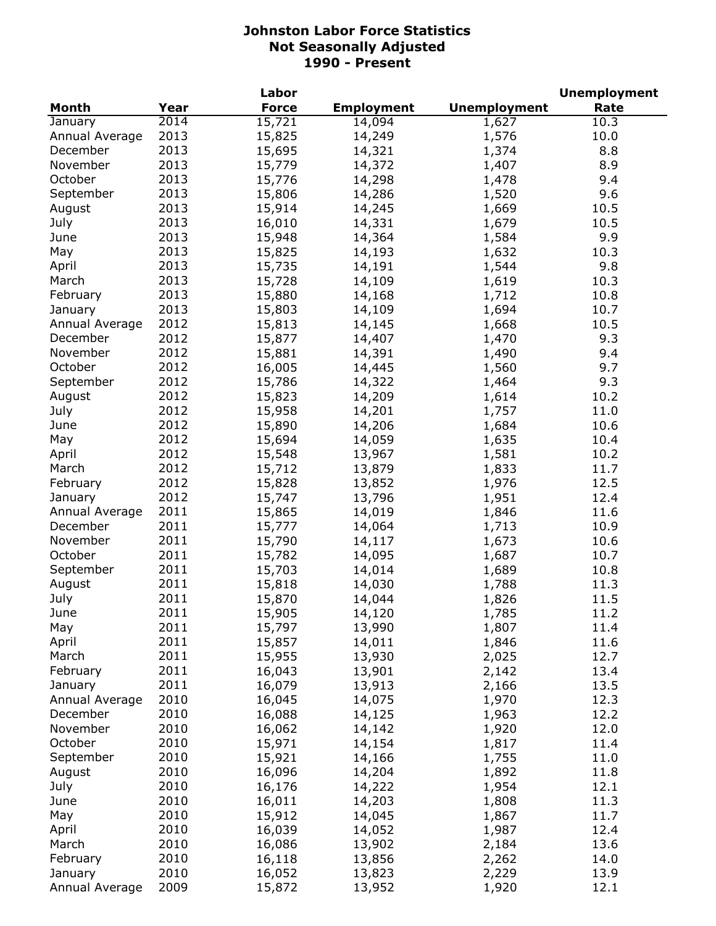|                |      | Labor        |                   |                     | <b>Unemployment</b> |
|----------------|------|--------------|-------------------|---------------------|---------------------|
| <b>Month</b>   | Year | <b>Force</b> | <b>Employment</b> | <b>Unemployment</b> | Rate                |
| January        | 2014 | 15,721       | 14,094            | 1,627               | 10.3                |
| Annual Average | 2013 | 15,825       | 14,249            | 1,576               | 10.0                |
| December       | 2013 | 15,695       | 14,321            | 1,374               | 8.8                 |
| November       | 2013 | 15,779       | 14,372            | 1,407               | 8.9                 |
| October        | 2013 | 15,776       | 14,298            | 1,478               | 9.4                 |
| September      | 2013 | 15,806       | 14,286            | 1,520               | 9.6                 |
| August         | 2013 | 15,914       | 14,245            | 1,669               | 10.5                |
| July           | 2013 | 16,010       | 14,331            | 1,679               | 10.5                |
| June           | 2013 | 15,948       | 14,364            | 1,584               | 9.9                 |
| May            | 2013 | 15,825       | 14,193            | 1,632               | 10.3                |
| April          | 2013 | 15,735       | 14,191            | 1,544               | 9.8                 |
| March          | 2013 | 15,728       | 14,109            | 1,619               | 10.3                |
| February       | 2013 | 15,880       | 14,168            | 1,712               | 10.8                |
| January        | 2013 | 15,803       | 14,109            | 1,694               | 10.7                |
| Annual Average | 2012 | 15,813       | 14,145            | 1,668               | 10.5                |
| December       | 2012 | 15,877       | 14,407            | 1,470               | 9.3                 |
| November       | 2012 | 15,881       | 14,391            | 1,490               | 9.4                 |
| October        | 2012 | 16,005       | 14,445            | 1,560               | 9.7                 |
| September      | 2012 | 15,786       | 14,322            | 1,464               | 9.3                 |
| August         | 2012 | 15,823       | 14,209            | 1,614               | 10.2                |
| July           | 2012 | 15,958       | 14,201            | 1,757               | 11.0                |
| June           | 2012 | 15,890       | 14,206            | 1,684               | 10.6                |
| May            | 2012 | 15,694       | 14,059            | 1,635               | 10.4                |
| April          | 2012 | 15,548       | 13,967            | 1,581               | 10.2                |
| March          | 2012 | 15,712       | 13,879            | 1,833               | 11.7                |
| February       | 2012 | 15,828       | 13,852            | 1,976               | 12.5                |
| January        | 2012 | 15,747       | 13,796            | 1,951               | 12.4                |
| Annual Average | 2011 | 15,865       | 14,019            | 1,846               | 11.6                |
| December       | 2011 | 15,777       | 14,064            | 1,713               | 10.9                |
| November       | 2011 | 15,790       | 14,117            | 1,673               | 10.6                |
| October        | 2011 | 15,782       | 14,095            | 1,687               | 10.7                |
| September      | 2011 | 15,703       | 14,014            | 1,689               | 10.8                |
| August         | 2011 | 15,818       | 14,030            | 1,788               | 11.3                |
| July           | 2011 | 15,870       | 14,044            | 1,826               | 11.5                |
| June           | 2011 | 15,905       | 14,120            | 1,785               | 11.2                |
| May            | 2011 | 15,797       | 13,990            | 1,807               | 11.4                |
| April          | 2011 | 15,857       | 14,011            | 1,846               | 11.6                |
| March          | 2011 | 15,955       | 13,930            | 2,025               | 12.7                |
| February       | 2011 | 16,043       | 13,901            | 2,142               | 13.4                |
| January        | 2011 | 16,079       | 13,913            | 2,166               | 13.5                |
| Annual Average | 2010 | 16,045       | 14,075            | 1,970               | 12.3                |
| December       | 2010 | 16,088       | 14,125            | 1,963               | 12.2                |
| November       | 2010 | 16,062       | 14,142            | 1,920               | 12.0                |
| October        | 2010 | 15,971       | 14,154            | 1,817               | 11.4                |
| September      | 2010 | 15,921       | 14,166            | 1,755               | 11.0                |
| August         | 2010 | 16,096       | 14,204            | 1,892               | 11.8                |
| July           | 2010 | 16,176       | 14,222            | 1,954               | 12.1                |
| June           | 2010 | 16,011       | 14,203            | 1,808               | 11.3                |
| May            | 2010 | 15,912       | 14,045            | 1,867               | 11.7                |
| April          | 2010 | 16,039       | 14,052            | 1,987               | 12.4                |
| March          | 2010 | 16,086       | 13,902            | 2,184               | 13.6                |
| February       | 2010 | 16,118       | 13,856            | 2,262               | 14.0                |
| January        | 2010 | 16,052       | 13,823            | 2,229               | 13.9                |
| Annual Average | 2009 | 15,872       | 13,952            | 1,920               | 12.1                |
|                |      |              |                   |                     |                     |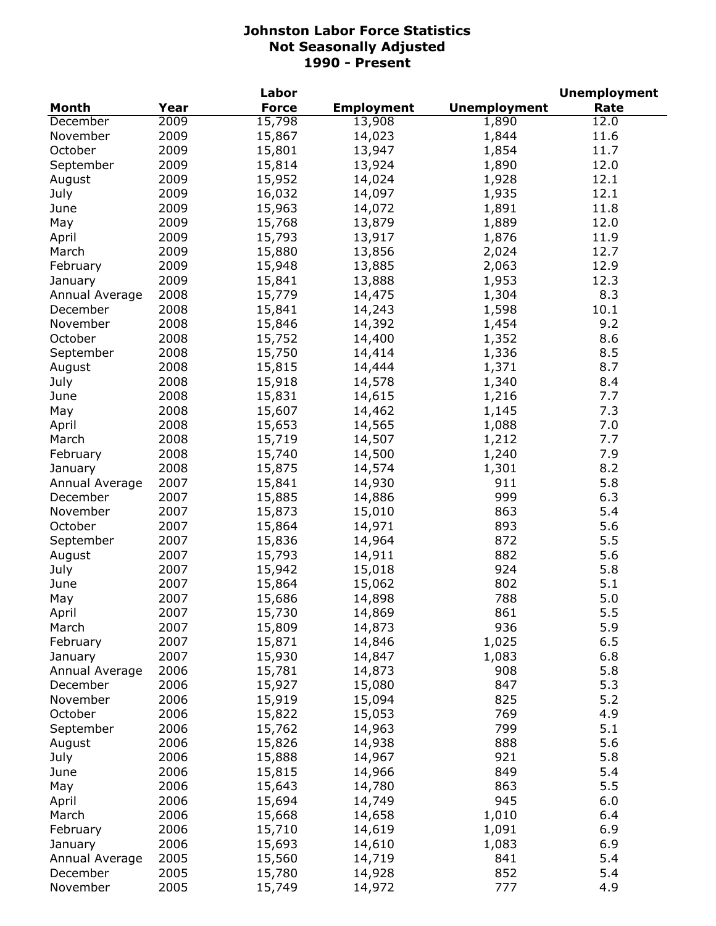|                           |      | Labor        |                   |                     | <b>Unemployment</b> |
|---------------------------|------|--------------|-------------------|---------------------|---------------------|
| <b>Month</b>              | Year | <b>Force</b> | <b>Employment</b> | <b>Unemployment</b> | Rate                |
| December                  | 2009 | 15,798       | 13,908            | 1,890               | 12.0                |
| November                  | 2009 | 15,867       | 14,023            | 1,844               | 11.6                |
| October                   | 2009 | 15,801       | 13,947            | 1,854               | 11.7                |
| September                 | 2009 | 15,814       | 13,924            | 1,890               | 12.0                |
| August                    | 2009 | 15,952       | 14,024            | 1,928               | 12.1                |
| July                      | 2009 | 16,032       | 14,097            | 1,935               | 12.1                |
| June                      | 2009 | 15,963       | 14,072            | 1,891               | 11.8                |
| May                       | 2009 | 15,768       | 13,879            | 1,889               | 12.0                |
| April                     | 2009 | 15,793       | 13,917            | 1,876               | 11.9                |
| March                     | 2009 | 15,880       | 13,856            | 2,024               | 12.7                |
| February                  | 2009 | 15,948       | 13,885            | 2,063               | 12.9                |
| January                   | 2009 | 15,841       | 13,888            | 1,953               | 12.3                |
| Annual Average            | 2008 | 15,779       | 14,475            | 1,304               | 8.3                 |
| December                  | 2008 | 15,841       | 14,243            | 1,598               | 10.1                |
| November                  | 2008 | 15,846       | 14,392            | 1,454               | 9.2                 |
| October                   | 2008 | 15,752       | 14,400            | 1,352               | 8.6                 |
| September                 | 2008 | 15,750       | 14,414            | 1,336               | 8.5                 |
| August                    | 2008 | 15,815       | 14,444            | 1,371               | 8.7                 |
| July                      | 2008 | 15,918       | 14,578            | 1,340               | 8.4                 |
| June                      | 2008 | 15,831       | 14,615            | 1,216               | 7.7                 |
| May                       | 2008 | 15,607       | 14,462            | 1,145               | 7.3                 |
| April                     | 2008 | 15,653       | 14,565            | 1,088               | 7.0                 |
| March                     | 2008 | 15,719       | 14,507            | 1,212               | 7.7                 |
| February                  | 2008 | 15,740       | 14,500            | 1,240               | 7.9                 |
| January                   | 2008 | 15,875       | 14,574            | 1,301               | 8.2                 |
| Annual Average            | 2007 | 15,841       | 14,930            | 911                 | 5.8                 |
| December                  | 2007 | 15,885       | 14,886            | 999                 | 6.3                 |
| November                  | 2007 | 15,873       | 15,010            | 863                 | 5.4                 |
| October                   | 2007 | 15,864       | 14,971            | 893                 | 5.6                 |
| September                 | 2007 | 15,836       | 14,964            | 872                 | 5.5                 |
| August                    | 2007 | 15,793       | 14,911            | 882                 | 5.6                 |
| July                      | 2007 | 15,942       | 15,018            | 924                 | 5.8                 |
| June                      | 2007 | 15,864       | 15,062            | 802                 | 5.1                 |
| May                       | 2007 | 15,686       | 14,898            | 788                 | 5.0                 |
| April                     | 2007 | 15,730       | 14,869            | 861                 | 5.5                 |
| March                     | 2007 | 15,809       | 14,873            | 936                 | 5.9                 |
| February                  | 2007 | 15,871       | 14,846            | 1,025               | 6.5                 |
| January                   | 2007 | 15,930       | 14,847            | 1,083               | 6.8                 |
| Annual Average            | 2006 | 15,781       | 14,873            | 908                 | 5.8                 |
| December                  | 2006 | 15,927       | 15,080            | 847                 | 5.3                 |
| November                  | 2006 | 15,919       | 15,094            | 825                 | 5.2                 |
| October                   | 2006 | 15,822       | 15,053            | 769                 | 4.9                 |
| September                 | 2006 | 15,762       | 14,963            | 799                 | 5.1                 |
| August                    | 2006 | 15,826       | 14,938            | 888                 | 5.6                 |
| July                      | 2006 | 15,888       | 14,967            | 921                 | 5.8                 |
| June                      | 2006 | 15,815       | 14,966            | 849                 | 5.4                 |
| May                       | 2006 | 15,643       | 14,780            | 863                 | 5.5                 |
| April                     | 2006 | 15,694       | 14,749            | 945                 | 6.0                 |
| March                     | 2006 | 15,668       | 14,658            | 1,010               | 6.4                 |
| February                  | 2006 | 15,710       | 14,619            | 1,091               | 6.9                 |
|                           | 2006 | 15,693       | 14,610            | 1,083               | 6.9                 |
| January<br>Annual Average | 2005 | 15,560       | 14,719            | 841                 | 5.4                 |
| December                  | 2005 | 15,780       | 14,928            | 852                 | 5.4                 |
| November                  | 2005 | 15,749       | 14,972            | 777                 | 4.9                 |
|                           |      |              |                   |                     |                     |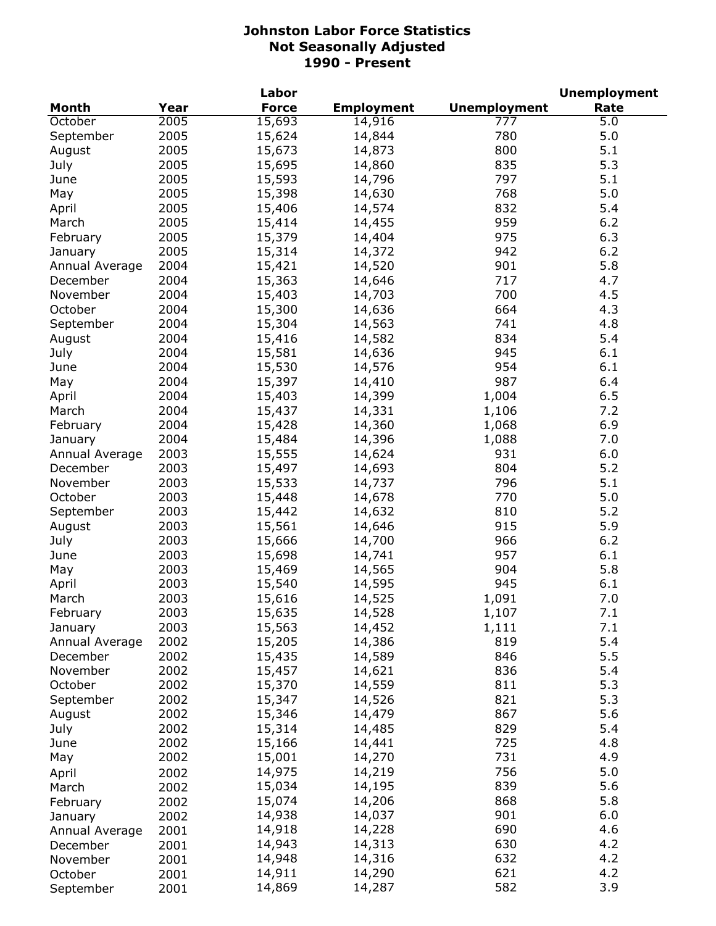|                |      | Labor        |                   |                     | <b>Unemployment</b> |
|----------------|------|--------------|-------------------|---------------------|---------------------|
| <b>Month</b>   | Year | <b>Force</b> | <b>Employment</b> | <b>Unemployment</b> | Rate                |
| October        | 2005 | 15,693       | 14,916            | 777                 | 5.0                 |
| September      | 2005 | 15,624       | 14,844            | 780                 | 5.0                 |
| August         | 2005 | 15,673       | 14,873            | 800                 | 5.1                 |
| July           | 2005 | 15,695       | 14,860            | 835                 | 5.3                 |
| June           | 2005 | 15,593       | 14,796            | 797                 | 5.1                 |
| May            | 2005 | 15,398       | 14,630            | 768                 | 5.0                 |
| April          | 2005 | 15,406       | 14,574            | 832                 | 5.4                 |
| March          | 2005 | 15,414       | 14,455            | 959                 | 6.2                 |
| February       | 2005 | 15,379       | 14,404            | 975                 | 6.3                 |
| January        | 2005 | 15,314       | 14,372            | 942                 | 6.2                 |
| Annual Average | 2004 | 15,421       | 14,520            | 901                 | 5.8                 |
| December       | 2004 | 15,363       | 14,646            | 717                 | 4.7                 |
| November       | 2004 | 15,403       | 14,703            | 700                 | 4.5                 |
| October        | 2004 | 15,300       | 14,636            | 664                 | 4.3                 |
| September      | 2004 | 15,304       | 14,563            | 741                 | 4.8                 |
| August         | 2004 | 15,416       | 14,582            | 834                 | 5.4                 |
| July           | 2004 | 15,581       | 14,636            | 945                 | 6.1                 |
| June           | 2004 | 15,530       | 14,576            | 954                 | 6.1                 |
| May            | 2004 | 15,397       | 14,410            | 987                 | 6.4                 |
| April          | 2004 | 15,403       | 14,399            | 1,004               | 6.5                 |
| March          | 2004 | 15,437       | 14,331            | 1,106               | 7.2                 |
| February       | 2004 | 15,428       | 14,360            | 1,068               | 6.9                 |
| January        | 2004 | 15,484       | 14,396            | 1,088               | 7.0                 |
| Annual Average | 2003 | 15,555       | 14,624            | 931                 | 6.0                 |
| December       | 2003 | 15,497       | 14,693            | 804                 | 5.2                 |
| November       | 2003 | 15,533       | 14,737            | 796                 | 5.1                 |
| October        | 2003 | 15,448       | 14,678            | 770                 | 5.0                 |
| September      | 2003 | 15,442       | 14,632            | 810                 | 5.2                 |
| August         | 2003 | 15,561       | 14,646            | 915                 | 5.9                 |
| July           | 2003 | 15,666       | 14,700            | 966                 | 6.2                 |
| June           | 2003 | 15,698       | 14,741            | 957                 | 6.1                 |
| May            | 2003 | 15,469       | 14,565            | 904                 | 5.8                 |
| April          | 2003 | 15,540       | 14,595            | 945                 | 6.1                 |
| March          | 2003 | 15,616       | 14,525            | 1,091               | 7.0                 |
| February       | 2003 | 15,635       | 14,528            | 1,107               | 7.1                 |
| January        | 2003 | 15,563       | 14,452            | 1,111               | 7.1                 |
| Annual Average | 2002 | 15,205       | 14,386            | 819                 | 5.4                 |
| December       | 2002 | 15,435       | 14,589            | 846                 | 5.5                 |
| November       | 2002 | 15,457       | 14,621            | 836                 | 5.4                 |
| October        | 2002 | 15,370       | 14,559            | 811                 | 5.3                 |
| September      | 2002 | 15,347       | 14,526            | 821                 | 5.3                 |
| August         | 2002 | 15,346       | 14,479            | 867                 | 5.6                 |
| July           | 2002 | 15,314       | 14,485            | 829                 | 5.4                 |
| June           | 2002 | 15,166       | 14,441            | 725                 | 4.8                 |
| May            | 2002 | 15,001       | 14,270            | 731                 | 4.9                 |
| April          | 2002 | 14,975       | 14,219            | 756                 | 5.0                 |
| March          | 2002 | 15,034       | 14,195            | 839                 | 5.6                 |
| February       | 2002 | 15,074       | 14,206            | 868                 | 5.8                 |
| January        | 2002 | 14,938       | 14,037            | 901                 | 6.0                 |
| Annual Average | 2001 | 14,918       | 14,228            | 690                 | 4.6                 |
| December       | 2001 | 14,943       | 14,313            | 630                 | 4.2                 |
| November       | 2001 | 14,948       | 14,316            | 632                 | 4.2                 |
| October        | 2001 | 14,911       | 14,290            | 621                 | 4.2                 |
| September      | 2001 | 14,869       | 14,287            | 582                 | 3.9                 |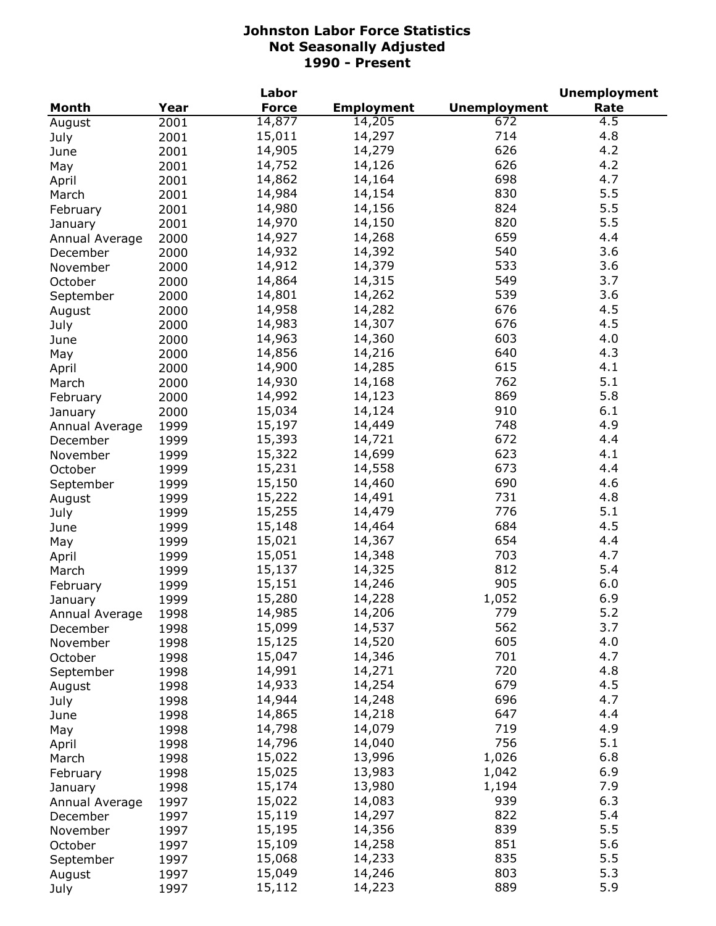|                |      | Labor            |                   |                     | <b>Unemployment</b> |
|----------------|------|------------------|-------------------|---------------------|---------------------|
| <b>Month</b>   | Year | <b>Force</b>     | <b>Employment</b> | <b>Unemployment</b> | Rate                |
| August         | 2001 | 14,877           | 14,205            | 672                 | 4.5                 |
| July           | 2001 | 15,011           | 14,297            | 714                 | 4.8                 |
| June           | 2001 | 14,905           | 14,279            | 626                 | 4.2                 |
| May            | 2001 | 14,752           | 14,126            | 626                 | 4.2                 |
| April          | 2001 | 14,862           | 14,164            | 698                 | 4.7                 |
| March          | 2001 | 14,984           | 14,154            | 830                 | 5.5                 |
| February       | 2001 | 14,980           | 14,156            | 824                 | 5.5                 |
| January        | 2001 | 14,970           | 14,150            | 820                 | 5.5                 |
| Annual Average | 2000 | 14,927           | 14,268            | 659                 | 4.4                 |
| December       | 2000 | 14,932           | 14,392            | 540                 | 3.6                 |
| November       | 2000 | 14,912           | 14,379            | 533                 | 3.6                 |
| October        | 2000 | 14,864           | 14,315            | 549                 | 3.7                 |
| September      | 2000 | 14,801           | 14,262            | 539                 | 3.6                 |
| August         | 2000 | 14,958           | 14,282            | 676                 | 4.5                 |
| July           | 2000 | 14,983           | 14,307            | 676                 | 4.5                 |
| June           | 2000 | 14,963           | 14,360            | 603                 | 4.0                 |
| May            | 2000 | 14,856           | 14,216            | 640                 | 4.3                 |
| April          | 2000 | 14,900           | 14,285            | 615                 | 4.1                 |
| March          | 2000 | 14,930           | 14,168            | 762                 | 5.1                 |
|                |      | 14,992           | 14,123            | 869                 | 5.8                 |
| February       | 2000 | 15,034           | 14,124            | 910                 | 6.1                 |
| January        | 2000 | 15,197           | 14,449            | 748                 | 4.9                 |
| Annual Average | 1999 | 15,393           | 14,721            | 672                 | 4.4                 |
| December       | 1999 | 15,322           | 14,699            | 623                 | 4.1                 |
| November       | 1999 | 15,231           | 14,558            | 673                 | 4.4                 |
| October        | 1999 | 15,150           | 14,460            | 690                 | 4.6                 |
| September      | 1999 | 15,222           | 14,491            | 731                 | 4.8                 |
| August         | 1999 | 15,255           | 14,479            | 776                 | 5.1                 |
| July           | 1999 | 15,148           | 14,464            | 684                 | 4.5                 |
| June           | 1999 | 15,021           | 14,367            | 654                 | 4.4                 |
| May            | 1999 | 15,051           | 14,348            | 703                 | 4.7                 |
| April          | 1999 | 15,137           | 14,325            | 812                 | 5.4                 |
| March          | 1999 | 15,151           | 14,246            | 905                 | 6.0                 |
| February       | 1999 | 15,280           | 14,228            | 1,052               | 6.9                 |
| January        | 1999 |                  |                   |                     | 5.2                 |
| Annual Average | 1998 | 14,985           | 14,206            | 779                 | 3.7                 |
| December       | 1998 | 15,099           | 14,537            | 562<br>605          | 4.0                 |
| November       | 1998 | 15,125           | 14,520            | 701                 | 4.7                 |
| October        | 1998 | 15,047<br>14,991 | 14,346            | 720                 | 4.8                 |
| September      | 1998 | 14,933           | 14,271<br>14,254  | 679                 | 4.5                 |
| August         | 1998 |                  |                   | 696                 | 4.7                 |
| July           | 1998 | 14,944           | 14,248            |                     | 4.4                 |
| June           | 1998 | 14,865           | 14,218            | 647<br>719          | 4.9                 |
| May            | 1998 | 14,798<br>14,796 | 14,079            | 756                 | 5.1                 |
| April          | 1998 |                  | 14,040            |                     |                     |
| March          | 1998 | 15,022           | 13,996            | 1,026               | 6.8                 |
| February       | 1998 | 15,025           | 13,983            | 1,042               | 6.9                 |
| January        | 1998 | 15,174           | 13,980            | 1,194               | 7.9                 |
| Annual Average | 1997 | 15,022           | 14,083            | 939                 | 6.3                 |
| December       | 1997 | 15,119           | 14,297            | 822                 | 5.4                 |
| November       | 1997 | 15,195           | 14,356            | 839                 | 5.5                 |
| October        | 1997 | 15,109           | 14,258            | 851                 | 5.6                 |
| September      | 1997 | 15,068           | 14,233            | 835                 | 5.5                 |
| August         | 1997 | 15,049           | 14,246            | 803                 | 5.3                 |
| July           | 1997 | 15,112           | 14,223            | 889                 | 5.9                 |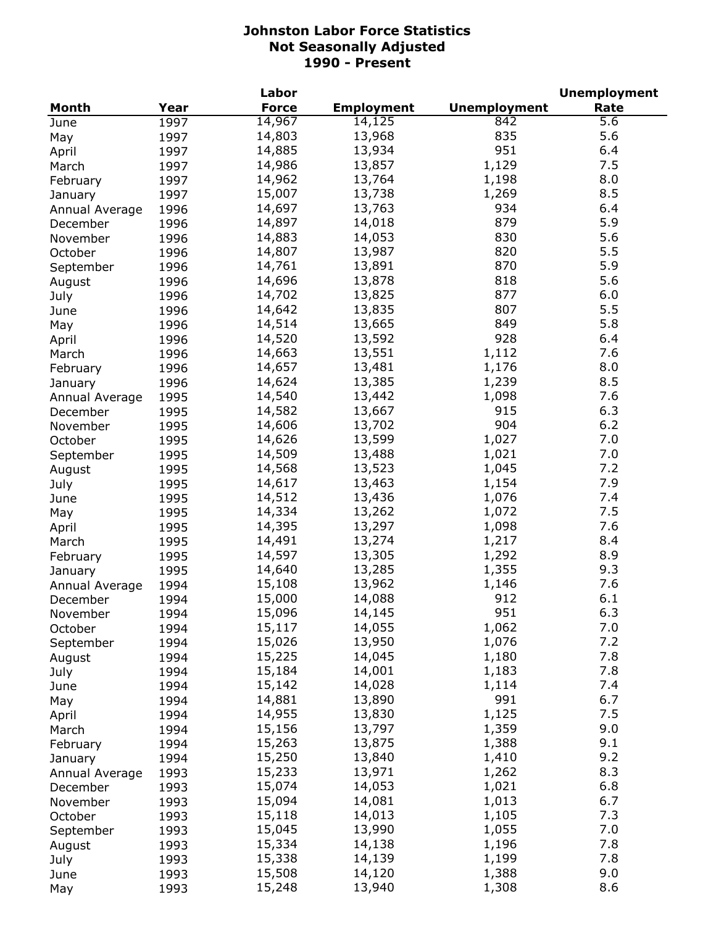|                |      | Labor        |                   | <b>Unemployment</b> |      |  |
|----------------|------|--------------|-------------------|---------------------|------|--|
| Month          | Year | <b>Force</b> | <b>Employment</b> | <b>Unemployment</b> | Rate |  |
| June           | 1997 | 14,967       | 14,125            | 842                 | 5.6  |  |
| May            | 1997 | 14,803       | 13,968            | 835                 | 5.6  |  |
| April          | 1997 | 14,885       | 13,934            | 951                 | 6.4  |  |
| March          | 1997 | 14,986       | 13,857            | 1,129               | 7.5  |  |
| February       | 1997 | 14,962       | 13,764            | 1,198               | 8.0  |  |
| January        | 1997 | 15,007       | 13,738            | 1,269               | 8.5  |  |
| Annual Average | 1996 | 14,697       | 13,763            | 934                 | 6.4  |  |
| December       | 1996 | 14,897       | 14,018            | 879                 | 5.9  |  |
| November       | 1996 | 14,883       | 14,053            | 830                 | 5.6  |  |
| October        | 1996 | 14,807       | 13,987            | 820                 | 5.5  |  |
| September      | 1996 | 14,761       | 13,891            | 870                 | 5.9  |  |
|                | 1996 | 14,696       | 13,878            | 818                 | 5.6  |  |
| August         | 1996 | 14,702       | 13,825            | 877                 | 6.0  |  |
| July           |      | 14,642       | 13,835            | 807                 | 5.5  |  |
| June           | 1996 | 14,514       | 13,665            | 849                 | 5.8  |  |
| May            | 1996 |              |                   | 928                 | 6.4  |  |
| April          | 1996 | 14,520       | 13,592            |                     |      |  |
| March          | 1996 | 14,663       | 13,551            | 1,112               | 7.6  |  |
| February       | 1996 | 14,657       | 13,481            | 1,176               | 8.0  |  |
| January        | 1996 | 14,624       | 13,385            | 1,239               | 8.5  |  |
| Annual Average | 1995 | 14,540       | 13,442            | 1,098               | 7.6  |  |
| December       | 1995 | 14,582       | 13,667            | 915                 | 6.3  |  |
| November       | 1995 | 14,606       | 13,702            | 904                 | 6.2  |  |
| October        | 1995 | 14,626       | 13,599            | 1,027               | 7.0  |  |
| September      | 1995 | 14,509       | 13,488            | 1,021               | 7.0  |  |
| August         | 1995 | 14,568       | 13,523            | 1,045               | 7.2  |  |
| July           | 1995 | 14,617       | 13,463            | 1,154               | 7.9  |  |
| June           | 1995 | 14,512       | 13,436            | 1,076               | 7.4  |  |
| May            | 1995 | 14,334       | 13,262            | 1,072               | 7.5  |  |
| April          | 1995 | 14,395       | 13,297            | 1,098               | 7.6  |  |
| March          | 1995 | 14,491       | 13,274            | 1,217               | 8.4  |  |
| February       | 1995 | 14,597       | 13,305            | 1,292               | 8.9  |  |
| January        | 1995 | 14,640       | 13,285            | 1,355               | 9.3  |  |
| Annual Average | 1994 | 15,108       | 13,962            | 1,146               | 7.6  |  |
| December       | 1994 | 15,000       | 14,088            | 912                 | 6.1  |  |
| November       | 1994 | 15,096       | 14,145            | 951                 | 6.3  |  |
| October        | 1994 | 15,117       | 14,055            | 1,062               | 7.0  |  |
| September      | 1994 | 15,026       | 13,950            | 1,076               | 7.2  |  |
| August         | 1994 | 15,225       | 14,045            | 1,180               | 7.8  |  |
| July           | 1994 | 15,184       | 14,001            | 1,183               | 7.8  |  |
| June           | 1994 | 15,142       | 14,028            | 1,114               | 7.4  |  |
| May            | 1994 | 14,881       | 13,890            | 991                 | 6.7  |  |
| April          | 1994 | 14,955       | 13,830            | 1,125               | 7.5  |  |
| March          | 1994 | 15,156       | 13,797            | 1,359               | 9.0  |  |
|                | 1994 | 15,263       | 13,875            | 1,388               | 9.1  |  |
| February       | 1994 | 15,250       | 13,840            | 1,410               | 9.2  |  |
| January        |      | 15,233       | 13,971            | 1,262               | 8.3  |  |
| Annual Average | 1993 | 15,074       | 14,053            | 1,021               | 6.8  |  |
| December       | 1993 |              |                   |                     |      |  |
| November       | 1993 | 15,094       | 14,081            | 1,013               | 6.7  |  |
| October        | 1993 | 15,118       | 14,013            | 1,105               | 7.3  |  |
| September      | 1993 | 15,045       | 13,990            | 1,055               | 7.0  |  |
| August         | 1993 | 15,334       | 14,138            | 1,196               | 7.8  |  |
| July           | 1993 | 15,338       | 14,139            | 1,199               | 7.8  |  |
| June           | 1993 | 15,508       | 14,120            | 1,388               | 9.0  |  |
| May            | 1993 | 15,248       | 13,940            | 1,308               | 8.6  |  |